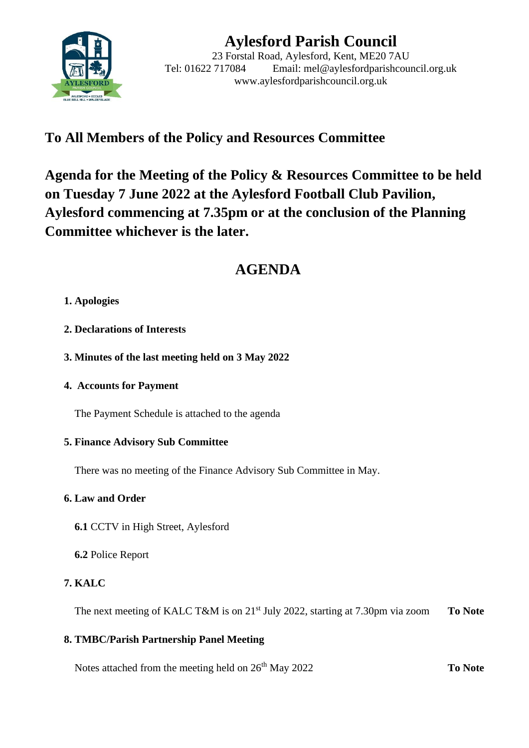

# **Aylesford Parish Council**

23 Forstal Road, Aylesford, Kent, ME20 7AU Tel: 01622 717084 Email: mel@aylesfordparishcouncil.org.uk www.aylesfordparishcouncil.org.uk

### **To All Members of the Policy and Resources Committee**

**Agenda for the Meeting of the Policy & Resources Committee to be held on Tuesday 7 June 2022 at the Aylesford Football Club Pavilion, Aylesford commencing at 7.35pm or at the conclusion of the Planning Committee whichever is the later.**

## **AGENDA**

#### **1. Apologies**

- **2. Declarations of Interests**
- **3. Minutes of the last meeting held on 3 May 2022**
- **4. Accounts for Payment**

The Payment Schedule is attached to the agenda

#### **5. Finance Advisory Sub Committee**

There was no meeting of the Finance Advisory Sub Committee in May.

#### **6. Law and Order**

 **6.1** CCTV in High Street, Aylesford

**6.2** Police Report

#### **7. KALC**

The next meeting of KALC T&M is on 21<sup>st</sup> July 2022, starting at 7.30pm via zoom **To Note** 

#### **8. TMBC/Parish Partnership Panel Meeting**

Notes attached from the meeting held on 26<sup>th</sup> May 2022 **To Note**